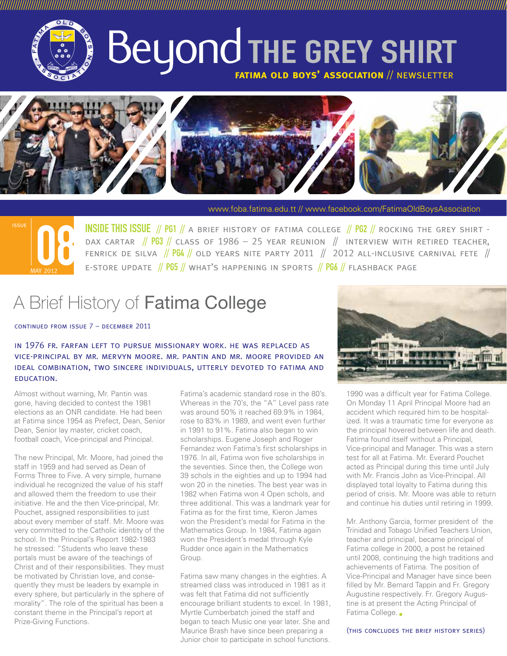

# Beyond THE GREY SHIRT **fatima old boys' association** // newsletter

///////////////////////////////////////////////////////////////////////////////////////////////////////////////////////////////////////////////////////////////////////////////////////////////////////////////////////////////



www.foba.fatima.edu.tt // www.facebook.com/FatimaOldBoysAssociation



INSIDE THIS ISSUE // PG1 // a brief history of fatima college // PG2 // rocking the grey shirt - DAX CARTAR  $\frac{1}{8}$  PG3  $\frac{1}{8}$  class of 1986 – 25 year reunion  $\frac{1}{8}$  interview with retired teacher, FENRICK DE SILVA  $\frac{1}{10}$  PG4  $\frac{1}{10}$  old years nite party 2011  $\frac{1}{10}$  2012 all-inclusive carnival fete  $\frac{1}{10}$ E-STORE UPDATE // PG5 // WHAT'S HAPPENING IN SPORTS // PG6 // FLASHBACK PAGE

## A Brief History of Fatima College

continued from issue 7 – december 2011

in 1976 fr. farfan left to pursue missionary work. he was replaced as vice-principal by mr. mervyn moore. mr. pantin and mr. moore provided an ideal combination, two sincere individuals, utterly devoted to fatima and education.

Almost without warning, Mr. Pantin was gone, having decided to contest the 1981 elections as an ONR candidate. He had been at Fatima since 1954 as Prefect, Dean, Senior Dean, Senior lay master, cricket coach, football coach, Vice-principal and Principal.

The new Principal, Mr. Moore, had joined the staff in 1959 and had served as Dean of Forms Three to Five. A very simple, humane individual he recognized the value of his staff and allowed them the freedom to use their initiative. He and the then Vice-principal, Mr. Pouchet, assigned responsibilities to just about every member of staff. Mr. Moore was very committed to the Catholic identity of the school. In the Principal's Report 1982-1983 he stressed: "Students who leave these portals must be aware of the teachings of Christ and of their responsibilities. They must be motivated by Christian love, and consequently they must be leaders by example in every sphere, but particularly in the sphere of morality". The role of the spiritual has been a constant theme in the Principal's report at Prize-Giving Functions.

Fatima's academic standard rose in the 80's. Whereas in the 70's, the "A" Level pass rate was around 50% it reached 69.9% in 1984, rose to 83% in 1989, and went even further in 1991 to 91%. Fatima also began to win scholarships. Eugene Joseph and Roger Fernandez won Fatima's first scholarships in 1976. In all, Fatima won five scholarships in the seventies. Since then, the College won 39 schols in the eighties and up to 1994 had won 20 in the nineties. The best year was in 1982 when Fatima won 4 Open schols, and three additional. This was a landmark year for Fatima as for the first time, Kieron James won the President's medal for Fatima in the Mathematics Group. In 1984, Fatima again won the President's medal through Kyle Rudder once again in the Mathematics Group.

Fatima saw many changes in the eighties. A streamed class was introduced in 1981 as it was felt that Fatima did not sufficiently encourage brilliant students to excel. In 1981, Myrtle Cumberbatch joined the staff and began to teach Music one year later. She and Maurice Brash have since been preparing a Junior choir to participate in school functions.



1990 was a difficult year for Fatima College. On Monday 11 April Principal Moore had an accident which required him to be hospitalized. It was a traumatic time for everyone as the principal hovered between life and death. Fatima found itself without a Principal, Vice-principal and Manager. This was a stern test for all at Fatima. Mr. Everard Pouchet acted as Principal during this time until July with Mr. Francis John as Vice-Principal. All displayed total loyalty to Fatima during this period of crisis. Mr. Moore was able to return and continue his duties until retiring in 1999.

Mr. Anthony Garcia, former president of the Trinidad and Tobago Unified Teachers Union, teacher and principal, became principal of Fatima college in 2000, a post he retained until 2008, continuing the high traditions and achievements of Fatima. The position of Vice-Principal and Manager have since been filled by Mr. Bernard Tappin and Fr. Gregory Augustine respectively. Fr. Gregory Augustine is at present the Acting Principal of Fatima College.

(this concludes the brief history series)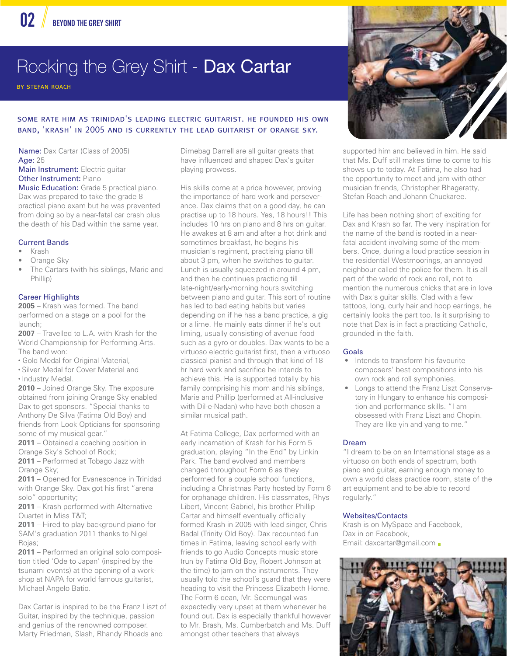## Rocking the Grey Shirt - Dax Cartar

by stefan roach

#### some rate him as trinidad's leading electric guitarist. he founded his own band, 'krash' in 2005 and is currently the lead guitarist of orange sky.

Name: Dax Cartar (Class of 2005) Age: 25 Main Instrument: Electric guitar

**Other Instrument: Piano** 

Music Education: Grade 5 practical piano. Dax was prepared to take the grade 8 practical piano exam but he was prevented from doing so by a near-fatal car crash plus the death of his Dad within the same year.

#### Current Bands

- Krash
- Orange Sky
- The Cartars (with his siblings, Marie and Phillip)

#### Career Highlights

**2005** – Krash was formed. The band performed on a stage on a pool for the launch;

**2007** – Travelled to L.A. with Krash for the World Championship for Performing Arts. The band won:

- Gold Medal for Original Material,
- Silver Medal for Cover Material and
- Industry Medal.

**2010** – Joined Orange Sky. The exposure obtained from joining Orange Sky enabled Dax to get sponsors. "Special thanks to Anthony De Silva (Fatima Old Boy) and friends from Look Opticians for sponsoring some of my musical gear."

**2011** – Obtained a coaching position in Orange Sky's School of Rock;

**2011** – Performed at Tobago Jazz with Orange Sky;

**2011** – Opened for Evanescence in Trinidad with Orange Sky. Dax got his first "arena solo" opportunity;

**2011** – Krash performed with Alternative Quartet in Miss T&T;

**2011** – Hired to play background piano for SAM's graduation 2011 thanks to Nigel Rojas;

**2011** – Performed an original solo composition titled 'Ode to Japan' (inspired by the tsunami events) at the opening of a workshop at NAPA for world famous guitarist, Michael Angelo Batio.

Dax Cartar is inspired to be the Franz Liszt of Guitar, inspired by the technique, passion and genius of the renowned composer. Marty Friedman, Slash, Rhandy Rhoads and

Dimebag Darrell are all guitar greats that have influenced and shaped Dax's guitar playing prowess.

His skills come at a price however, proving the importance of hard work and perseverance. Dax claims that on a good day, he can practise up to 18 hours. Yes, 18 hours!! This includes 10 hrs on piano and 8 hrs on guitar. He awakes at 8 am and after a hot drink and sometimes breakfast, he begins his musician's regiment, practising piano till about 3 pm, when he switches to guitar. Lunch is usually squeezed in around 4 pm, and then he continues practicing till late-night/early-morning hours switching between piano and guitar. This sort of routine has led to bad eating habits but varies depending on if he has a band practice, a gig or a lime. He mainly eats dinner if he's out liming, usually consisting of avenue food such as a gyro or doubles. Dax wants to be a virtuoso electric guitarist first, then a virtuoso classical pianist and through that kind of 18 hr hard work and sacrifice he intends to achieve this. He is supported totally by his family comprising his mom and his siblings, Marie and Phillip (performed at All-inclusive with Dil-e-Nadan) who have both chosen a similar musical path.

At Fatima College, Dax performed with an early incarnation of Krash for his Form 5 graduation, playing "In the End" by Linkin Park. The band evolved and members changed throughout Form 6 as they performed for a couple school functions, including a Christmas Party hosted by Form 6 for orphanage children. His classmates, Rhys Libert, Vincent Gabriel, his brother Phillip Cartar and himself eventually officially formed Krash in 2005 with lead singer, Chris Badal (Trinity Old Boy). Dax recounted fun times in Fatima, leaving school early with friends to go Audio Concepts music store (run by Fatima Old Boy, Robert Johnson at the time) to jam on the instruments. They usually told the school's guard that they were heading to visit the Princess Elizabeth Home. The Form 6 dean, Mr. Seemungal was expectedly very upset at them whenever he found out. Dax is especially thankful however to Mr. Brash, Ms. Cumberbatch and Ms. Duff amongst other teachers that always



supported him and believed in him. He said that Ms. Duff still makes time to come to his shows up to today. At Fatima, he also had the opportunity to meet and jam with other musician friends, Christopher Bhageratty, Stefan Roach and Johann Chuckaree.

Life has been nothing short of exciting for Dax and Krash so far. The very inspiration for the name of the band is rooted in a nearfatal accident involving some of the members. Once, during a loud practice session in the residential Westmoorings, an annoyed neighbour called the police for them. It is all part of the world of rock and roll, not to mention the numerous chicks that are in love with Dax's guitar skills. Clad with a few tattoos, long, curly hair and hoop earrings, he certainly looks the part too. Is it surprising to note that Dax is in fact a practicing Catholic, grounded in the faith.

#### Goals

- Intends to transform his favourite composers' best compositions into his own rock and roll symphonies.
- Longs to attend the Franz Liszt Conservatory in Hungary to enhance his composition and performance skills. "I am obsessed with Franz Liszt and Chopin. They are like yin and yang to me."

#### Dream

"I dream to be on an International stage as a virtuoso on both ends of spectrum, both piano and guitar, earning enough money to own a world class practice room, state of the art equipment and to be able to record regularly."

#### Websites/Contacts

Krash is on MySpace and Facebook, Dax in on Facebook, Email: daxcartar@gmail.com

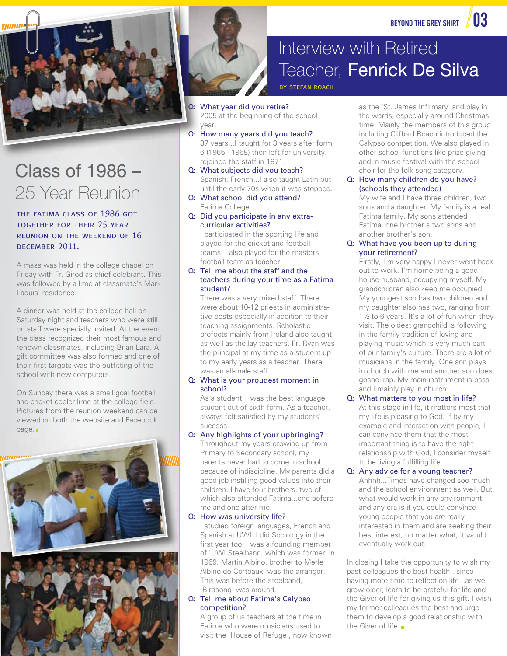

## Class of 1986 – 25 Year Reunion

#### the fatima class of 1986 got together for their 25 year reunion on the weekend of 16 december 2011.

A mass was held in the college chapel on Friday with Fr. Girod as chief celebrant. This was followed by a lime at classmate's Mark Laquis' residence.

A dinner was held at the college hall on Saturday night and teachers who were still on staff were specially invited. At the event the class recognized their most famous and renown classmates, including Brian Lara. A gift committee was also formed and one of their first targets was the outfitting of the school with new computers. COLASS Of 1986 — COLOGY COLOGY COLOGY COLOGY COLOGY COLOGY COLOGY COLOGY COLOGY COLOGY COLOGY COLOGY COLOGY COLOGY COLOGY COLOGY COLOGY COLOGY COLOGY COLOGY COLOGY COLOGY COLOGY COLOGY COLOGY COLOGY COLOGY COLOGY COLOGY CO

On Sunday there was a small goal football and cricket cooler lime at the college field. Pictures from the reunion weekend can be viewed on both the website and Facebook page.





### Interview with Retired Teacher, Fenrick De Silva

by stefan roach

- Q: What year did you retire? **2005** at the beginning of the school
	- year. y

Q: How many years did you teach? H 37 years...I taught for 3 years after form 3 6 (1965 - 1968) then left for university. I 6 rejoined the staff in 1971. r

- Q: What subjects did you teach? Spanish, French...I also taught Latin but until the early 70s when it was stopped.
- Q: What school did you attend? Fatima College
- Q: Did you participate in any extracurricular activities?

 I participated in the sporting life and played for the cricket and football teams. I also played for the masters football team as teacher.

#### Q: Tell me about the staff and the teachers during your time as a Fatima student?

 There was a very mixed staff. There were about 10-12 priests in administrative posts especially in addition to their teaching assignments. Scholastic prefects mainly from Ireland also taught as well as the lay teachers. Fr. Ryan was the principal at my time as a student up to my early years as a teacher. There was an all-male staff.

#### Q: What is your proudest moment in school?

 As a student, I was the best language student out of sixth form. As a teacher, I always felt satisfied by my students' success.

Q: Any highlights of your upbringing? Throughout my years growing up from Primary to Secondary school, my parents never had to come in school because of indiscipline. My parents did a good job instilling good values into their children. I have four brothers, two of which also attended Fatima...one before me and one after me.

#### Q: How was university life?

 I studied foreign languages, French and Spanish at UWI. I did Sociology in the first year too. I was a founding member of 'UWI Steelband' which was formed in 1969. Martin Albino, brother to Merle Albino de Corteaux, was the arranger. This was before the steelband, 'Birdsong' was around.

#### Q: Tell me about Fatima's Calypso competition?

 A group of us teachers at the time in Fatima who were musicians used to visit the 'House of Refuge', now known as the 'St. James Infirmary' and play in the wards, especially around Christmas time. Mainly the members of this group including Clifford Roach introduced the Calypso competition. We also played in other school functions like prize-giving and in music festival with the school choir for the folk song category.

#### Q: How many children do you have? (schools they attended)

 My wife and I have three children, two sons and a daughter. My family is a real Fatima family. My sons attended Fatima, one brother's two sons and another brother's son.

Q: What have you been up to during your retirement?

 Firstly, I'm very happy I never went back out to work. I'm home being a good house-husband, occupying myself. My grandchildren also keep me occupied. My youngest son has two children and my daughter also has two, ranging from 1½ to 6 years. It's a lot of fun when they visit. The oldest grandchild is following in the family tradition of loving and playing music which is very much part of our family's culture. There are a lot of musicians in the family. One son plays in church with me and another son does gospel rap. My main instrument is bass and I mainly play in church.

#### Q: What matters to you most in life?

 At this stage in life, it matters most that my life is pleasing to God. If by my example and interaction with people, I can convince them that the most important thing is to have the right relationship with God, I consider myself to be living a fulfilling life.

#### Q: Any advice for a young teacher?

 Ahhhh...Times have changed soo much and the school environment as well. But what would work in any environment and any era is if you could convince young people that you are really interested in them and are seeking their best interest, no matter what, it would eventually work out.

In closing I take the opportunity to wish my past colleagues the best health...since having more time to reflect on life...as we grow older, learn to be grateful for life and the Giver of life for giving us this gift. I wish my former colleagues the best and urge them to develop a good relationship with the Giver of life.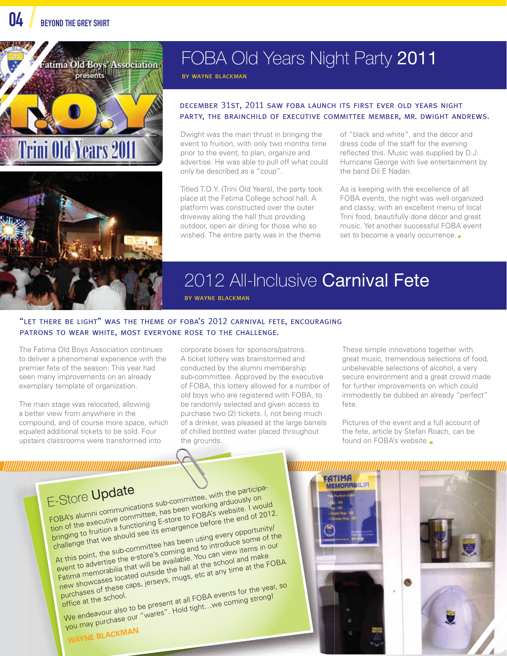



### FOBA Old Years Night Party 2011

by wayne blackman

#### december 31st, 2011 saw foba launch its first ever old years night party, the brainchild of executive committee member, mr. dwight andrews.

Dwight was the main thrust in bringing the event to fruition, with only two months time prior to the event, to plan, organize and advertise. He was able to pull off what could only be described as a "coup".

Titled T.O.Y. (Trini Old Years), the party took place at the Fatima College school hall. A platform was constructed over the outer driveway along the hall thus providing outdoor, open air dining for those who so wished. The entire party was in the theme

of "black and white", and the décor and dress code of the staff for the evening reflected this. Music was supplied by D.J. Hurricane George with live entertainment by the band Dil E Nadan.

As is keeping with the excellence of all FOBA events, the night was well organized and classy, with an excellent menu of local Trini food, beautifully done décor and great music. Yet another successful FOBA event set to become a yearly occurrence.

### 2012 All-Inclusive Carnival Fete

by wayne blackman

#### "let there be light" was the theme of foba's 2012 carnival fete, encouraging patrons to wear white, most everyone rose to the challenge.

The Fatima Old Boys Association continues to deliver a phenomenal experience with the premier fete of the season. This year had seen many improvements on an already exemplary template of organization.

The main stage was relocated, allowing a better view from anywhere in the compound, and of course more space, which equaled additional tickets to be sold. Four upstairs classrooms were transformed into the

E-Store Update<br>FOBA's alumni communications sub-committee, with the participa-<br>FOBA's alumni communications sub-committee, has been working arduously on E-Store Update<br>FOBA's alumni communications sub-committee, with the participal<br>tion of the executive committee, has been working arduously on bringing to fruition a functioning E-store to FOBA's website. I would Challenge that we should see its emergence before the end of 2012.<br>Challenge that we should see its emergence before the end of 2012.<br>At this point, the sub-committee has been using every opportunity/<br>At this point, the su At this point, the sub-committee has been using every opportunity/ event to advertise the e-store's coming and to introduce some of the Fatima memorabilia that will be available. You can view items in our this point, the seasone's commished. You can view to advertise the e-store's commished. You can view and make experience the school and make  $\frac{1}{\text{atima}}$  are memorabilia that will be available. You can vime at the FOBA ex purchases = school. ew showed these caps, Jeneev<br>surchases of these caps, Jeneevent at all FOBA events for the year, so<br>office at the school.<br>We endeavour also to be present at all FOBA events for the year, so<br>We endeavour also to be present office at the scribol.<br>We endeavour also to be present at all FOBA events for the year.<br>We endeavour also to be present at all FOBA events for the year.

**WAYNE BLACKMAN**



These simple innovations together with great music, tremendous selections of food, unbelievable selections of alcohol, a very secure environment and a great crowd made for further improvements on which could immodestly be dubbed an already "perfect" fete.

Pictures of the event and a full account of the fete, article by Stefan Roach, can be found on FOBA's website.

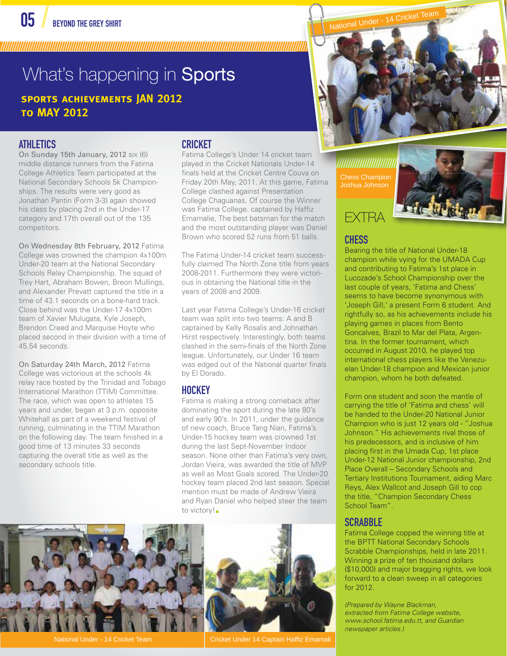////////////////////////////////////////////////////////////////////////////////////////////////////////////////////////////////////////////////////////////////////////////////////////////////////////////////////////////

## What's happening in **Sports sports achievements JAN 2012**

**to MAY 2012** 

### ATHLETICS

On Sunday 15th January, 2012 six (6) middle distance runners from the Fatima College Athletics Team participated at the National Secondary Schools 5k Championships. The results were very good as Jonathan Pantin (Form 3-3) again showed his class by placing 2nd in the Under-17 category and 17th overall out of the 135 competitors.

On Wednesday 8th February, 2012 Fatima College was crowned the champion 4x100m Under-20 team at the National Secondary Schools Relay Championship. The squad of Trey Hart, Abraham Bowen, Breon Mullings, and Alexander Prevatt captured the title in a time of 43.1 seconds on a bone-hard track. Close behind was the Under-17 4x100m team of Xavier Mulugata, Kyle Joseph, Brendon Creed and Marquise Hoyte who placed second in their division with a time of 45.54 seconds.

On Saturday 24th March, 2012 Fatima College was victorious at the schools 4k relay race hosted by the Trinidad and Tobago International Marathon (TTIM) Committee. The race, which was open to athletes 15 years and under, began at 3 p.m. opposite Whitehall as part of a weekend festival of running, culminating in the TTIM Marathon on the following day. The team finished in a good time of 13 minutes 33 seconds capturing the overall title as well as the secondary schools title.

### CRICKET

Fatima College's Under 14 cricket team played in the Cricket Nationals Under-14 played in the Cricket Nationals Under-14<br>finals held at the Cricket Centre Couva on Friday 20th May, 2011. At this game, Fatima College clashed against Presentation College Chaguanas. Of course the Winner was Fatima College. captained by Haffiz Emamalie, The best batsman for the match and the most outstanding player was Daniel Brown who scored 52 runs from 51 balls.

The Fatima Under-14 cricket team successfully claimed The North Zone title from years 2008-2011. Furthermore they were victorious in obtaining the National title in the years of 2008 and 2009.

Last year Fatima College's Under-16 cricket team was split into two teams: A and B captained by Kelly Rosalis and Johnathan Hirst respectively. Interestingly, both teams clashed in the semi-finals of the North Zone league. Unfortunately, our Under 16 team was edged out of the National quarter finals by El Dorado.

#### **HOCKEY**

Fatima is making a strong comeback after dominating the sport during the late 80's and early 90's. In 2011, under the guidance of new coach, Bruce Tang Nian, Fatima's Under-15 hockey team was crowned 1st during the last Sept-November Indoor season. None other than Fatima's very own, Jordan Vieira, was awarded the title of MVP as well as Most Goals scored. The Under-20 hockey team placed 2nd last season. Special mention must be made of Andrew Vieira and Ryan Daniel who helped steer the team to victory!



National Under - 14 Cricket Team Cricket Under 14 Captain Haffiz Emamali



Chess Champion Joshua Johnson



### **CHESS**

Bearing the title of National Under-18 champion while vying for the UMADA Cup and contributing to Fatima's 1st place in Lucozade's School Championship over the last couple of years, 'Fatima and Chess' seems to have become synonymous with 'Joseph Gill,' a present Form 6 student. And rightfully so, as his achievements include his playing games in places from Bento Goncalves, Brazil to Mar del Plata, Argentina. In the former tournament, which occurred in August 2010, he played top international chess players like the Venezuelan Under-18 champion and Mexican junior champion, whom he both defeated.

Form one student and soon the mantle of carrying the title of 'Fatima and chess' will be handed to the Under-20 National Junior Champion who is just 12 years old - "Joshua Johnson." His achievements rival those of his predecessors, and is inclusive of him placing first in the Umada Cup, 1st place Under-12 National Junior championship, 2nd Place Overall – Secondary Schools and Tertiary Institutions Tournament, aiding Marc Reys, Alex Wallcot and Joseph Gill to cop the title, "Champion Secondary Chess School Team".

### **SCRABBLE**

Fatima College copped the winning title at the BPTT National Secondary Schools Scrabble Championships, held in late 2011. Winning a prize of ten thousand dollars (\$10,000) and major bragging rights, we look forward to a clean sweep in all categories for 2012.

*(Prepared by Wayne Blackman, extracted from Fatima College website, www.school.fatima.edu.tt, and Guardian newspaper articles.)*